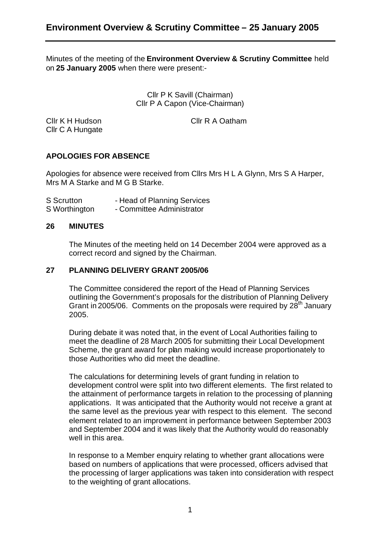Minutes of the meeting of the **Environment Overview & Scrutiny Committee** held on **25 January 2005** when there were present:-

> Cllr P K Savill (Chairman) Cllr P A Capon (Vice-Chairman)

Cllr C A Hungate

Cllr K H Hudson Cllr R A Oatham

# **APOLOGIES FOR ABSENCE**

Apologies for absence were received from Cllrs Mrs H L A Glynn, Mrs S A Harper, Mrs M A Starke and M G B Starke.

| S Scrutton    | - Head of Planning Services |
|---------------|-----------------------------|
| S Worthington | - Committee Administrator   |

#### **26 MINUTES**

The Minutes of the meeting held on 14 December 2004 were approved as a correct record and signed by the Chairman.

## **27 PLANNING DELIVERY GRANT 2005/06**

The Committee considered the report of the Head of Planning Services outlining the Government's proposals for the distribution of Planning Delivery Grant in 2005/06. Comments on the proposals were required by  $28<sup>th</sup>$  January 2005.

During debate it was noted that, in the event of Local Authorities failing to meet the deadline of 28 March 2005 for submitting their Local Development Scheme, the grant award for plan making would increase proportionately to those Authorities who did meet the deadline.

The calculations for determining levels of grant funding in relation to development control were split into two different elements. The first related to the attainment of performance targets in relation to the processing of planning applications. It was anticipated that the Authority would not receive a grant at the same level as the previous year with respect to this element. The second element related to an improvement in performance between September 2003 and September 2004 and it was likely that the Authority would do reasonably well in this area.

In response to a Member enquiry relating to whether grant allocations were based on numbers of applications that were processed, officers advised that the processing of larger applications was taken into consideration with respect to the weighting of grant allocations.